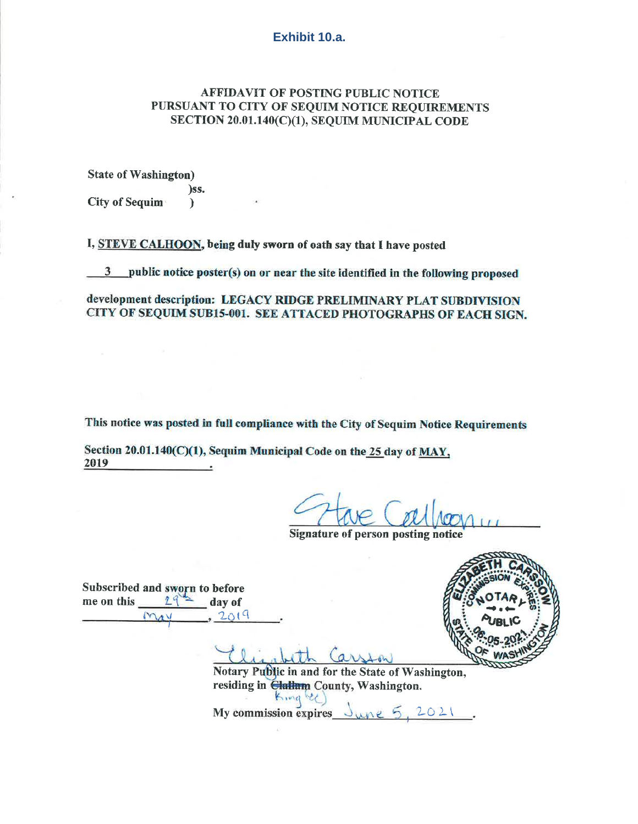#### Exhibit 10.a.

#### **AFFIDAVIT OF POSTING PUBLIC NOTICE** PURSUANT TO CITY OF SEQUIM NOTICE REQUIREMENTS SECTION 20.01.140(C)(1), SEQUIM MUNICIPAL CODE

**State of Washington)** )ss. **City of Sequim**  $\lambda$ 

I, STEVE CALHOON, being duly sworn of oath say that I have posted

3 public notice poster(s) on or near the site identified in the following proposed

development description: LEGACY RIDGE PRELIMINARY PLAT SUBDIVISION CITY OF SEQUIM SUB15-001. SEE ATTACED PHOTOGRAPHS OF EACH SIGN.

This notice was posted in full compliance with the City of Sequim Notice Requirements

Section 20.01.140(C)(1), Sequim Municipal Code on the 25 day of MAY, 2019

Signature of person posting notice

Subscribed and sworn to before me on this 29 day of  $2019$ 

Notary Public in and for the State of Washington, residing in Clallam County, Washington.

King te My commission expires  $\cup_{\mathcal{U}}$  $2021$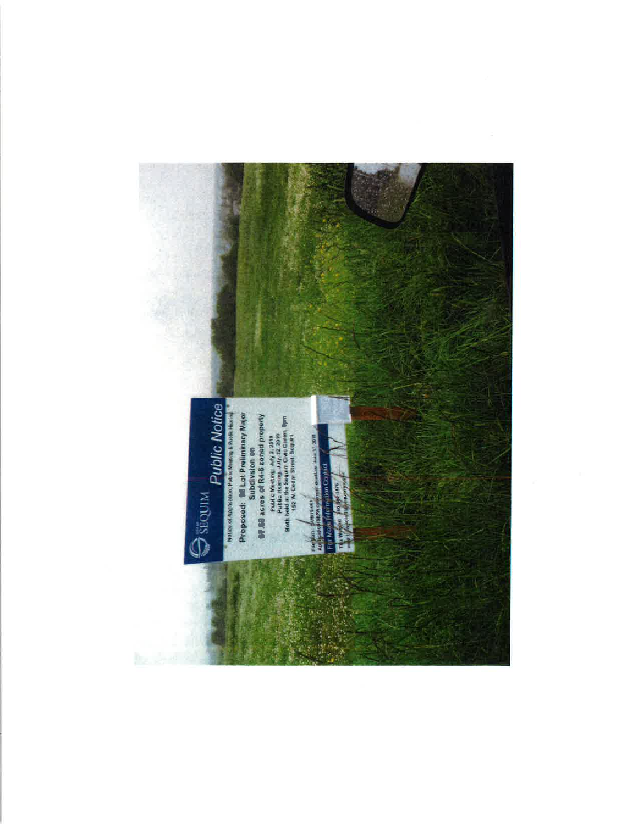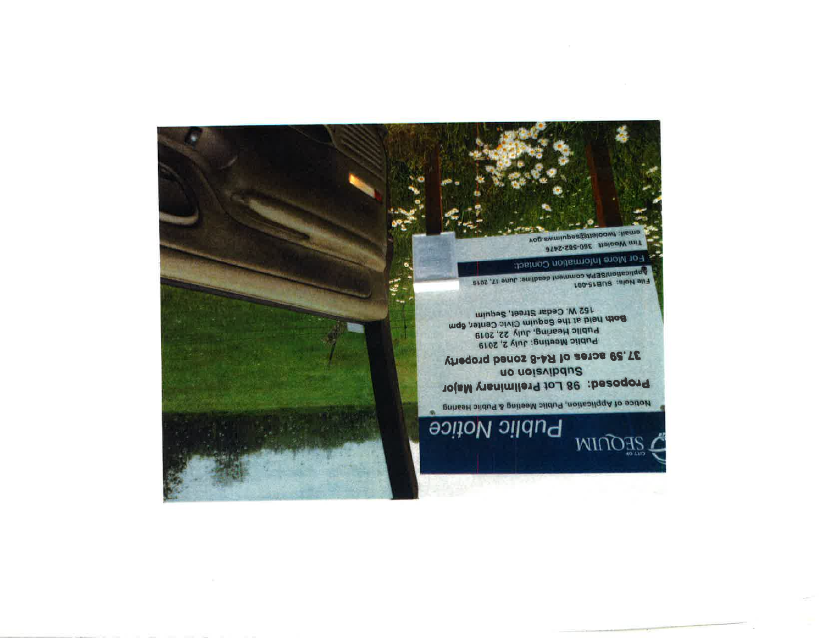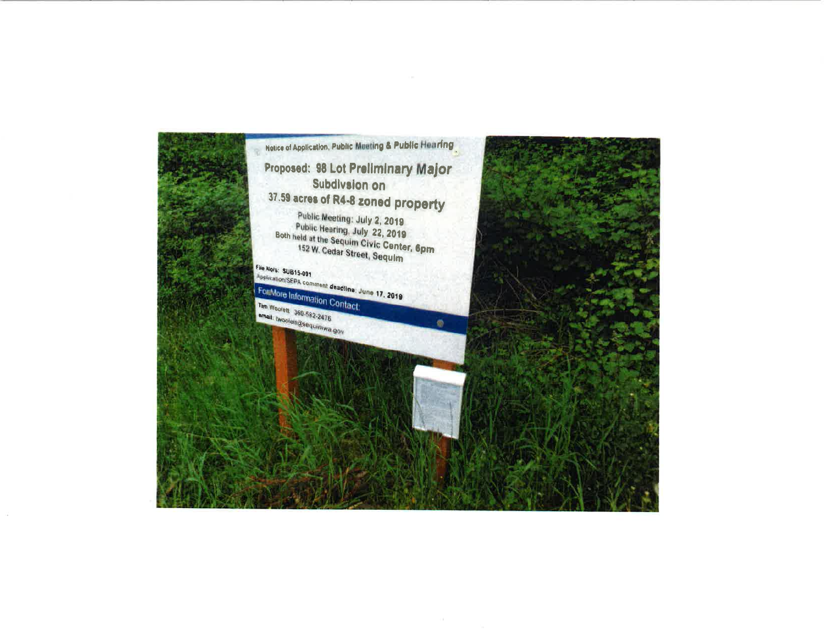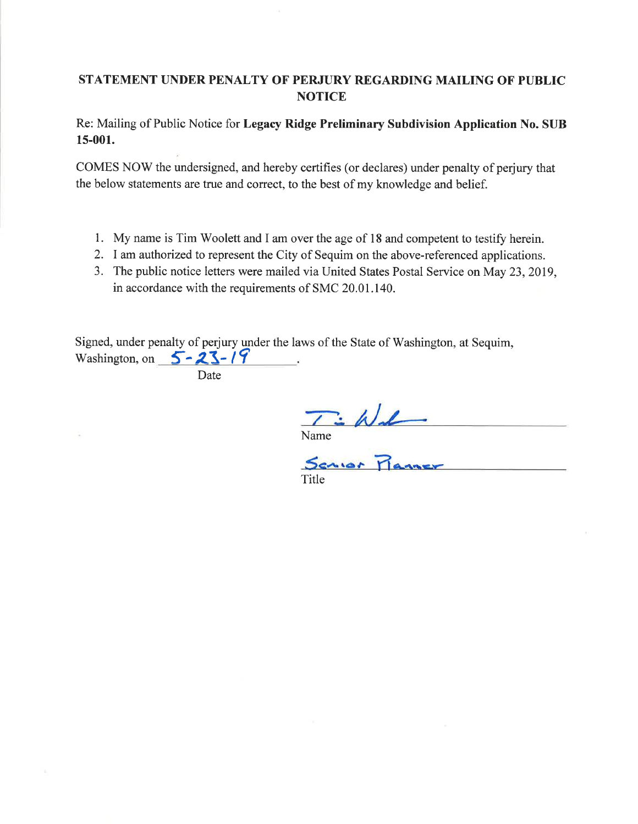### STATEMENT UNDER PENALTY OF PERJURY REGARDING MAILING OF PUBLIC **NOTICE**

Re: Mailing of Public Notice for Legacy Ridge Preliminary Subdivision Application No. SUB t5-001.

COMES NOW the undersigned, and hereby certifies (or declares) under penalty of perjury that the below statements are true and correct, to the best of my knowledge and belief.

- 1. My name is Tim Woolett and I am over the age of 18 and competent to testify herein.
- 2. I am authorized to represent the City of Sequim on the above-referenced applications.
- 3. The public notice letters were mailed via United States Postal Service on May 23,2019, in accordance with the requirements of SMC 20.01.140.

Signed, under penalty of perjury under the laws of the State of Washington, at Sequim, Washington, on  $5 - 23 - 19$ 

Date

Name Wall

**Title**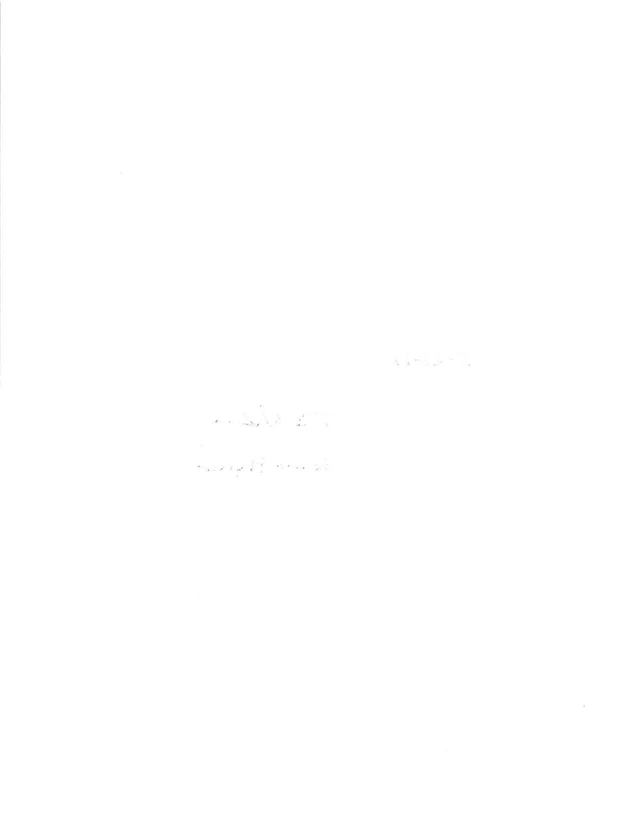$\mathcal{A}_{\mathcal{A}}\left(\mathcal{C}^{(1)},\mathcal{C}^{(2)}\right)$  ,

 $\alpha$  . The set of  $\alpha$ 

 $\label{eq:2} \mathcal{L}=\mathcal{L}^{\text{max}}_{\text{max}}\left(\mathcal{L}-\mathcal{L}^{\text{max}}_{\text{max}}\right)$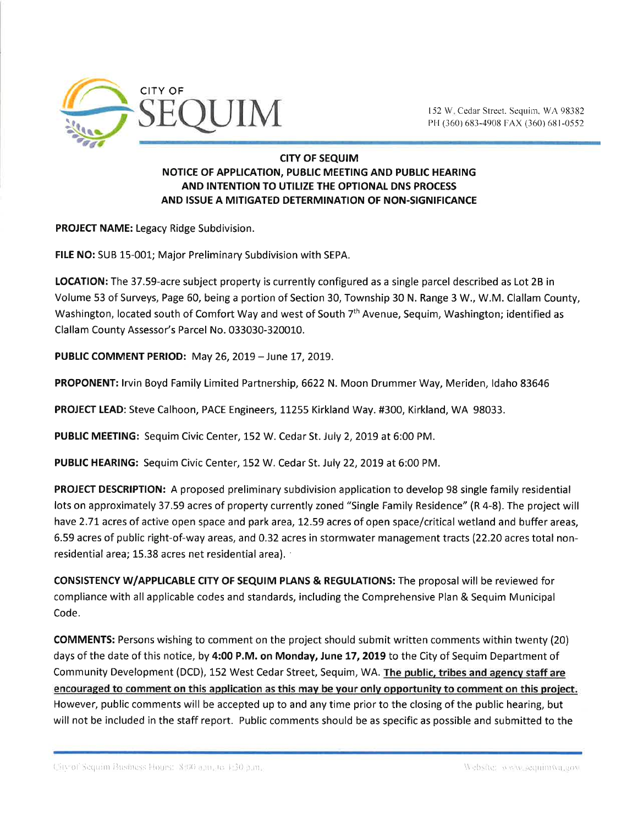

PH (360) 683-4908 FAX (360) 681-0552

#### **CITY OF SEQUIM** NOTICE OF APPLICATION, PUBLIC MEETING AND PUBLIC HEARING AND INTENTION TO UTILIZE THE OPTIONAL DNS PROCESS AND ISSUE A MITIGATED DETERMINATION OF NON-SIGNIFICANCE

PROJECT NAME: Legacy Ridge Subdivision.

FILE NO: SUB 15-001; Major Preliminary Subdivision with SEPA.

LOCATION: The 37.59-acre subject property is currently configured as a single parcel described as Lot 2B in Volume 53 of Surveys, Page 60, being a portion of Section 30, Township 30 N. Range 3 W., W.M. Clallam County, Washington, located south of Comfort Way and west of South 7<sup>th</sup> Avenue, Sequim, Washington; identified as Clallam County Assessor's Parcel No. 033030-320010.

PUBLIC COMMENT PERIOD: May 26, 2019 - June 17, 2019.

PROPONENT: Irvin Boyd Family Limited Partnership, 6622 N. Moon Drummer Way, Meriden, Idaho 83646

PROJECT LEAD: Steve Calhoon, PACE Engineers, 11255 Kirkland Way. #300, Kirkland, WA 98033.

PUBLIC MEETING: Sequim Civic Center, 152 W. Cedar St. July 2, 2019 at 6:00 PM.

PUBLIC HEARING: Sequim Civic Center, 152 W. Cedar St. July 22, 2019 at 6:00 PM.

PROJECT DESCRIPTION: A proposed preliminary subdivision application to develop 98 single famíly residential lots on approximately 37.59 acres of property currently zoned "Single Family Residence" (R 4-8). The project will have 2.71 acres of active open space and park area, 12.59 acres of open space/critical wetland and buffer areas, 6.59 acres of public right-of-way areas, and 0.32 acres in stormwater management tracts (22.20 acres total nonresidential area; 15.38 acres net residential area). '

CONSISTENCY W/APPLICABLE CITY OF SEQUIM PLANS & REGULATIONS: The proposal will be reviewed for compliance with all applicable codes and standards, including the Comprehensive Plan & Sequim Municipal Code.

COMMENTS: Persons wishing to comment on the project should submit written comments within twenty (20) days of the date of this notice, by 4:00 P.M. on Monday, June 17, 2019 to the City of Sequim Department of Community Development (DCD), 152 West Cedar Street, Sequim, WA. The public, tribes and agency staff are encouraged to comment on this application as this mav be vour only opportunitv to comment on this proiect. However, public comments will be accepted up to and any time prior to the closing of the public hearing, but will not be included in the staff report. Public comments should be as specific as possible and submitted to the

( ity of Sequim Business Hours: 3:00 a.m., to 4:30 p.m., and the context of the context of the sequim wagovernment of the context of the context of the context of the context of the context of the context of the context of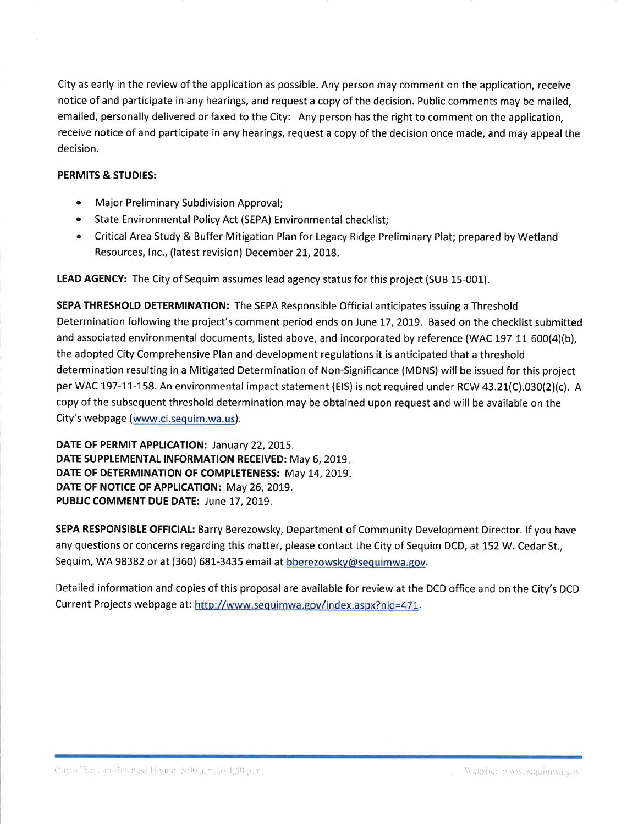City as early in the review of the application as possible. Any person may comment on the application, receive notice of and participate in any hearings, and request a copy of the decision. Public comments may be mailed, emailed, personally delivered or faxed to the City: Any person has the right to comment on the application, receive notice of and participate in any hearings, request a copy of the decision once made, and may appealthe decision.

#### PERMITS & STUDIES:

- o Major Preliminary Subdivision Approval;
- o State Environmental Policy Act (SEPA) Environmental checklist;
- o Critical Area Study & Buffer Mitigation Plan for Legacy Ridge Preliminary Plat; prepared by Wetland Resources, Inc., (latest revision) December 21, 2018.

**LEAD AGENCY:** The City of Sequim assumes lead agency status for this project (SUB 15-001).

SEPA THRESHOLD DETERMINATION: The SEPA Responsible Official anticipates issuing a Threshold Determination following the project's comment period ends on June 17, 2019. Based on the checklist submitted and associated environmental documents, listed above, and incorporated by reference (WAC 197-11-600(4)(b), the adopted Cíty Comprehensive Plan and development regulations it is anticipated that a threshold determination resulting in a Mitigated Determination of Non-Significance (MDNS) will be issued for this project per WAC 197-11-158. An environmental impact statement (EIS) is not required under RCW 43.21(C).030(2)(c). A copy of the subsequent threshold determination may be obtained upon request and will be available on the City's webpage (www.ci.sequim.wa. us).

DATE OF PERMIT APPLICATION: January 22, 2015. DATE SUPPLEMENTAL INFORMATION RECEIVED: May 6, 2019. DATE OF DETERMINATION OF COMPLETENESS: May 14, 2019. DATE OF NOTICE OF APPLICATION: May 26, 2019. PUBLIC COMMENT DUE DATE: June 17, 2019.

SEPA RESPONSIBLE OFFICIAL: Barry Berezowsky, Department of Community Development Director. If you have any questions or concerns regarding this matter, please contact the City of Sequim DCD, at 152 W. Cedar St., Sequim, WA 98382 or at (360) 681-3435 email at bberezowsky@sequimwa.gov.

Detailed information and copies of this proposal are available for review at the DCD office and on the City's DCD Current Projects webpage at: http://www.sequimwa.gov/index.aspx?nid=471.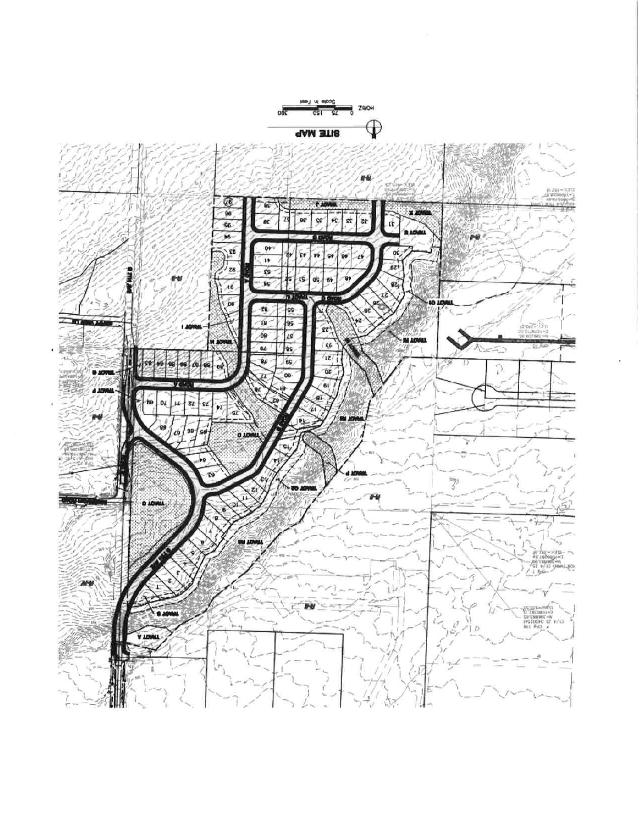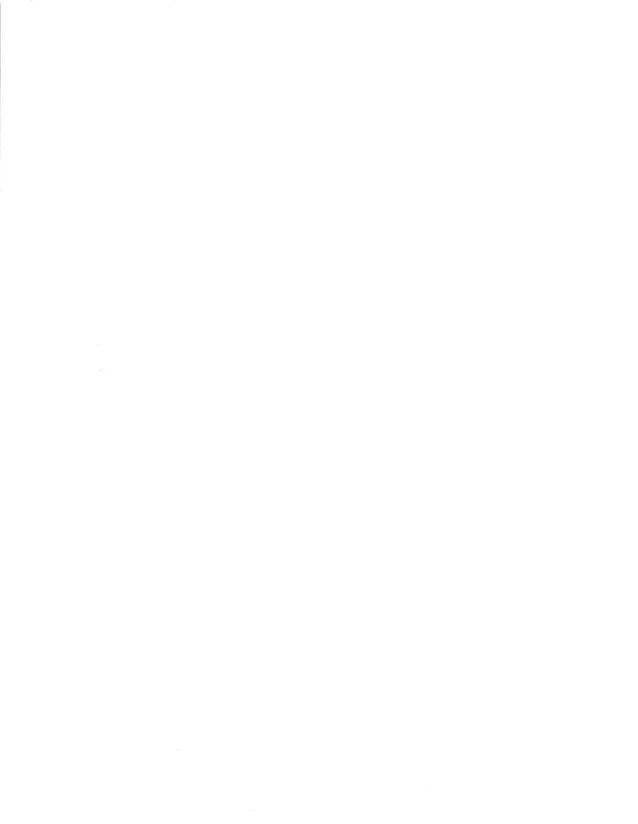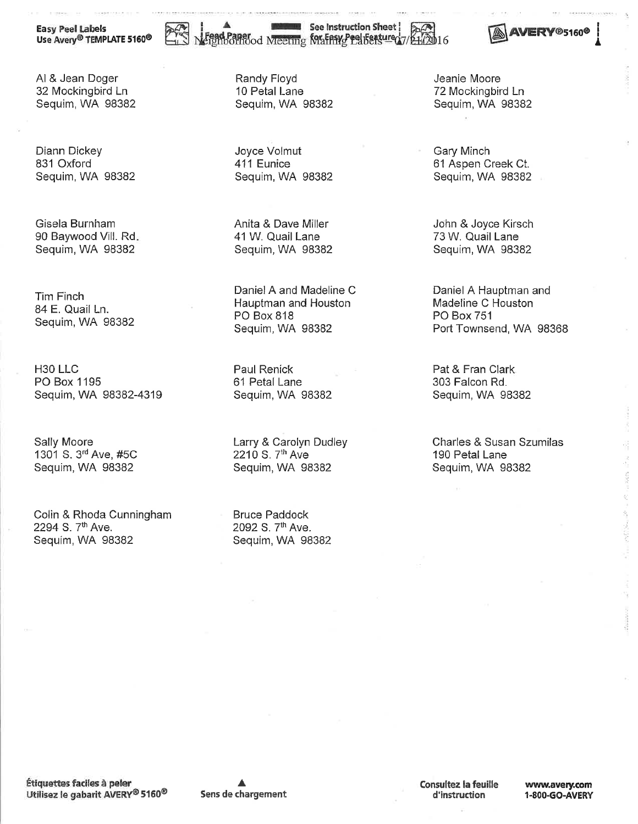**Easy Peel Labels** Use Avery<sup>®</sup> TEMPLATE 5160<sup>®</sup>

Al & Jean Doger 32 Mockingbird Ln Sequim, WA 98382

Diann Dickey 831 Oxford Sequim, WA 98382

Gisela Burnham 90 Baywood Vill. Rd. Sequim, WA 98382

Tim Finch 84 E. Quail Ln. Sequim, WA 98382

H<sub>30</sub> LLC PO Box 1195 Sequim, WA 98382-4319

Sally Moore 1301 S. 3rd Ave, #5C Sequim, WA 98382

Colin & Rhoda Cunningham 2294 S. 7<sup>th</sup> Ave. Sequím, WA 98382

See Instruction Sheet Fead Papel od Meeting Maffity Pel Featured 7

> Randy Floyd 10 Petal Lane Sequim, WA 98382

> Jovce Volmut 411 Eunice Sequim, WA 98382

Anita & Dave Miller 41 W. Quail Lane Sequim, WA 98382

Daniel A and Madeline C Hauptman and Houston PO Box 818 Sequim, WA 98382

Paul Renick 61 Petal Lane Sequim, WA 98382

Larry & Carolyn Dudley 2210 S. 7th Ave Sequim, WA 98382

**Bruce Paddock** 2092 S. 7<sup>th</sup> Ave. Sequim, WA 98382



Jeanie Moore 72 Mockingbird Ln Sequim, WA 98382

Gary Minch 61 Aspen Creek Ct. Sequim, WA 98382

John & Joyce Kirsch 73 W. Quail Lane Sequim, WA 98382

Daniel A Hauptman and Madeline C Houston **PO Box 751** Port Townsend, WA 98368

Pat & Fran Clark 303 Falcon Rd. Sequim, WA 98382

Charles & Susan Szumilas 190 Petal Lane Sequim, WA 98382

Étiquettes faciles à peler Utilisez le gabarit AVERY<sup>®</sup> 5160<sup>®</sup> **Consultez la feuille** d'instruction

www.avery.com 1-800-GO-AVERY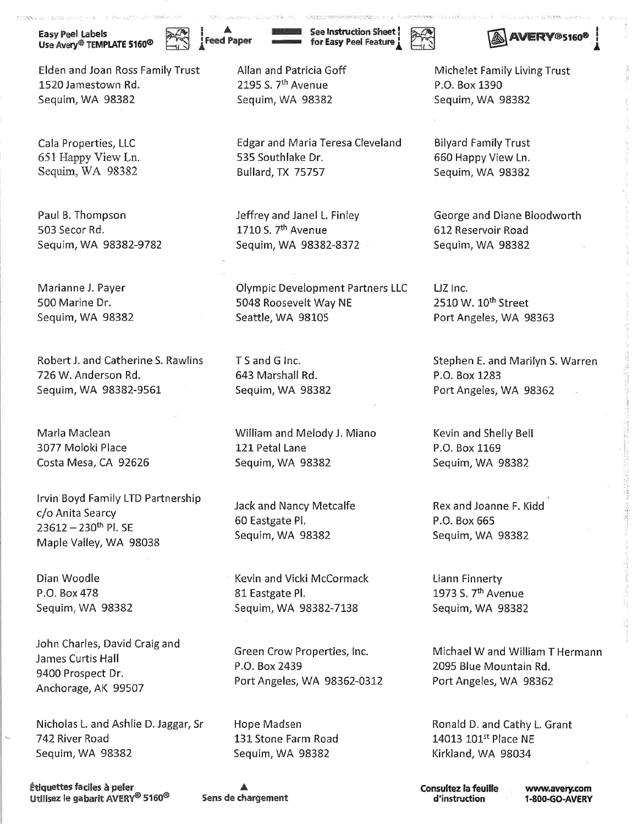**Easy Peel Labels** Use Avery<sup>®</sup> TEMPLATE 5160<sup>®</sup>



Elden and Joan Ross Family Trust 1520 Jamestown Rd. Sequim, WA 98382

Cala Properties, LLC 651 Happy View Ln. Sequim, WA 98382

Paul B. Thompson 503 Secor Rd. Sequim, WA 98382-9782

Marianne J. Payer 500 Marine Dr. Sequim, WA 98382

Robert J. and Catherine S. Rawlins 726 W. Anderson Rd. Sequim, WA 98382-9561

Marla Maclean 3077 Moloki Place Costa Mesa, CA 92626

Irvin Boyd Family LTD Partnership c/o Anita Searcy  $23612 - 230$ <sup>th</sup> Pl. SE Maple Valley, WA 98038

Dian Woodle P.O. Box 478 Sequim, WA 98382

John Charles, David Craig and James Curtis Hall 9400 Prospect Dr. Anchorage, AK 99507

Nicholas L. and Ashlie D. Jaggar, Sr 742 River Road Sequim, WA 98382

Étiquettes faciles à peler Utilisez le gabarit AVERY® 5160® Feed Paper

**See Instruction Sheet** for Easy Peel Feature

Allan and Patricia Goff 2195 S. 7<sup>th</sup> Avenue Sequim, WA 98382

**Edgar and Maria Teresa Cleveland** 535 Southlake Dr. Bullard, TX 75757

Jeffrey and Janel L. Finley 1710 S. 7<sup>th</sup> Avenue Sequim, WA 98382-8372

**Olympic Development Partners LLC** 5048 Roosevelt Way NE Seattle, WA 98105

T S and G Inc. 643 Marshall Rd. Sequim, WA 98382

William and Melody J. Miano 121 Petal Lane Sequim, WA 98382

Jack and Nancy Metcalfe 60 Eastgate Pl. Sequim, WA 98382

Kevin and Vicki McCormack 81 Eastgate Pl. Sequim, WA 98382-7138

Green Crow Properties, Inc. P.O. Box 2439 Port Angeles, WA 98362-0312

Hope Madsen 131 Stone Farm Road Sequim, WA 98382





Michelet Family Living Trust P.O. Box 1390 Sequim, WA 98382

**Bilyard Family Trust** 660 Happy View Ln. Sequim, WA 98382

George and Diane Bloodworth 612 Reservoir Road Sequim, WA 98382

 $UZ$  inc. 2510 W. 10<sup>th</sup> Street Port Angeles, WA 98363

Stephen E. and Marilyn S. Warren P.O. Box 1283 Port Angeles, WA 98362

Kevin and Shelly Bell P.O. Box 1169 Sequim, WA 98382

Rex and Joanne F. Kidd P.O. Box 665 Sequim, WA 98382

Liann Finnerty 1973 S. 7<sup>th</sup> Avenue Sequim, WA 98382

Michael W and William T Hermann 2095 Blue Mountain Rd. Port Angeles, WA 98362

Ronald D. and Cathy L. Grant 14013 101st Place NE Kirkland, WA 98034

**Consultez la feuille** d'instruction

www.avery.com 1-800-GO-AVERY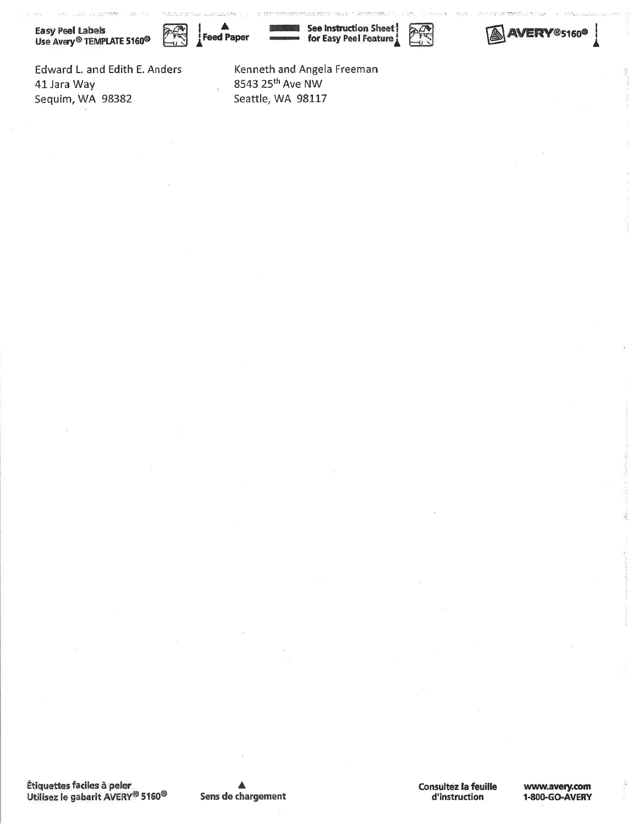Easy Peel Labels<br>Use Avery® TEMPLATE 5160®







Edward L. and Edith E. Anders 41 Jara Way Sequim, WA 98382

Kenneth and Angela Freeman 8543 25<sup>th</sup> Ave NW Seattle, WA 98117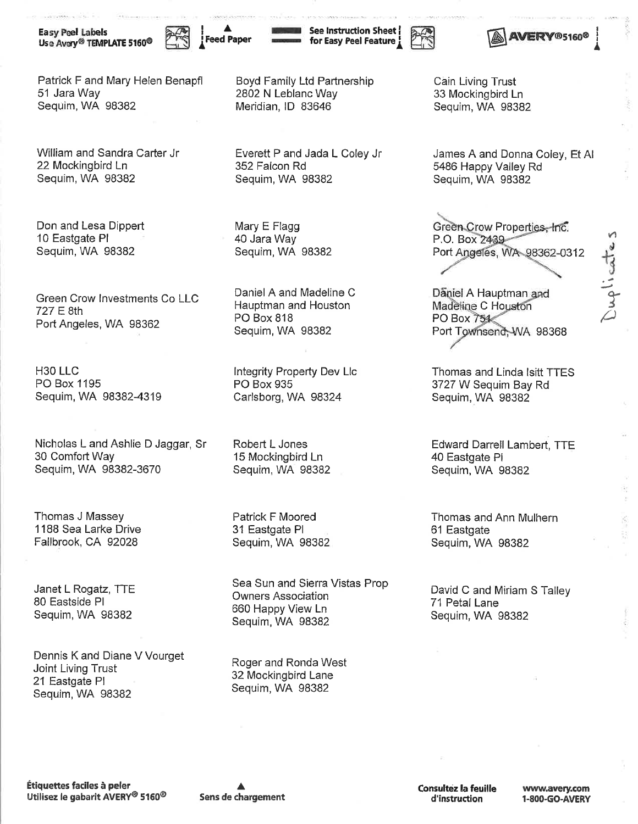**Easy Peel Labels** Use Avery<sup>®</sup> TEMPLATE 5160<sup>®</sup>



Patrick F and Mary Helen Benapfl 51 Jara Way Sequim, WA 98382

William and Sandra Carter Jr 22 Mockingbird Ln Sequim, WA 98382

Don and Lesa Dippert 10 Eastgate PI Sequim, WA 98382

**Green Crow Investments Co LLC** 727 E 8th Port Angeles, WA 98362

H<sub>30</sub> LLC PO Box 1195 Sequim, WA 98382-4319

Nicholas L and Ashlie D Jaggar, Sr 30 Comfort Way Sequim, WA 98382-3670

Thomas J Massey 1188 Sea Larke Drive Fallbrook, CA 92028

Janet L Rogatz, TTE 80 Eastside PI Sequim, WA 98382

Dennis K and Diane V Vourget Joint Living Trust 21 Eastgate PI Sequim, WA 98382

Boyd Family Ltd Partnership 2802 N Leblanc Wav Meridian, ID 83646

See Instruction Sheet

for Easy Peel Feature

Everett P and Jada L Coley Jr 352 Falcon Rd Sequim, WA 98382

Mary E Flagg 40 Jara Way Sequim, WA 98382

Daniel A and Madeline C Hauptman and Houston PO Box 818 Sequim, WA 98382

Integrity Property Dev Llc **PO Box 935** Carlsborg, WA 98324

Robert L Jones 15 Mockingbird Ln Sequim, WA 98382

Patrick F Moored 31 Eastgate PI Sequim, WA 98382

Sea Sun and Sierra Vistas Prop **Owners Association** 660 Happy View Ln Sequim, WA 98382

Roger and Ronda West 32 Mockingbird Lane Sequim, WA 98382





Cain Living Trust 33 Mockingbird Ln Sequim, WA 98382

James A and Donna Coley, Et Al 5486 Happy Valley Rd Sequim, WA 98382

Green Crow Properties, Inc. P.O. Box 2439 Port Angeles, WA 98362-0312

Duplicates

 $\widetilde{\Sigma}$ 

Daniel A Hauptman and Madeline C Houston PO Box 751 Port Townsend, WA 98368

Thomas and Linda Isitt TTES 3727 W Sequim Bay Rd Sequim, WA 98382

Edward Darrell Lambert, TTE 40 Eastgate PI Sequim, WA 98382

Thomas and Ann Mulhern 61 Eastgate Sequim, WA 98382

David C and Miriam S Talley 71 Petal Lane Sequim, WA 98382

www.avery.com 1-800-GO-AVERY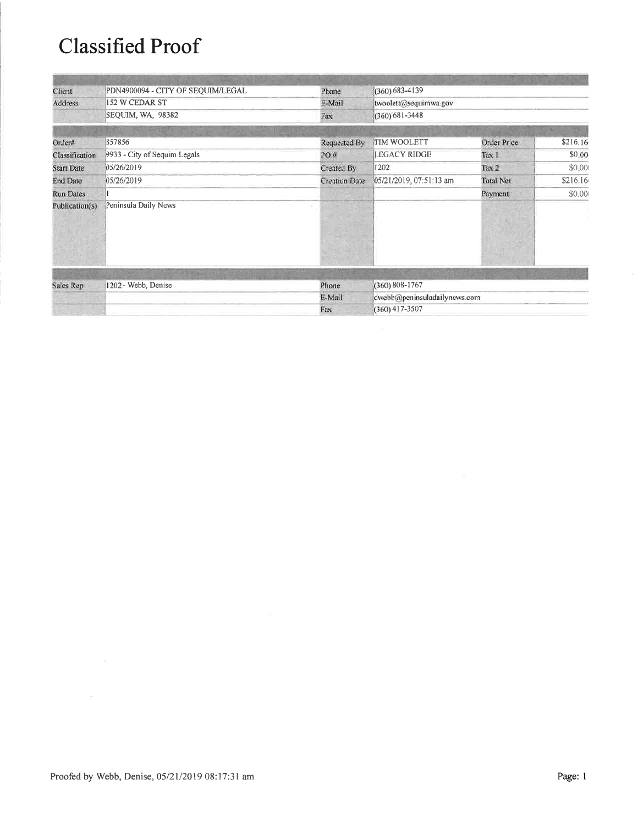# **Classified Proof**

| Client            | PDN4900094 - CITY OF SEQUIM/LEGAL | Phone                | $(360) 683 - 4139$                                 |             |          |
|-------------------|-----------------------------------|----------------------|----------------------------------------------------|-------------|----------|
| Address           | 152 W CEDAR ST                    | E-Mail               | twoolett@sequimwa.gov                              |             |          |
|                   | SEQUIM, WA, 98382                 | Fax                  | $(360) 681 - 3448$                                 |             |          |
|                   |                                   |                      |                                                    |             |          |
| Order#            | 857856                            | Requested By         | <b>TIM WOOLETT</b>                                 | Order Price | \$216.16 |
| Classification    | 9933 - City of Sequim Legals      | PO#                  | <b>LEGACY RIDGE</b>                                | Tax 1       | \$0.00   |
| <b>Start Date</b> | 05/26/2019                        | Created By           | 1202                                               | Tax 2       | \$0.00   |
| <b>End Date</b>   | 05/26/2019                        | <b>Creation Date</b> | 05/21/2019, 07:51:13 am                            | Total Net   | \$216.16 |
| Run Dates         |                                   |                      |                                                    | Payment     | \$0.00   |
| Publication(s)    | Peninsula Daily News              |                      |                                                    |             |          |
| Sales Rep         | 1202 - Webb, Denise               | Phone<br>E-Mail      | $(360) 808 - 1767$<br>dwebb@peninsuladailynews.com |             |          |
|                   |                                   | Fax                  | $(360)$ 417-3507                                   |             |          |

 $\sim$ 

 $\sim$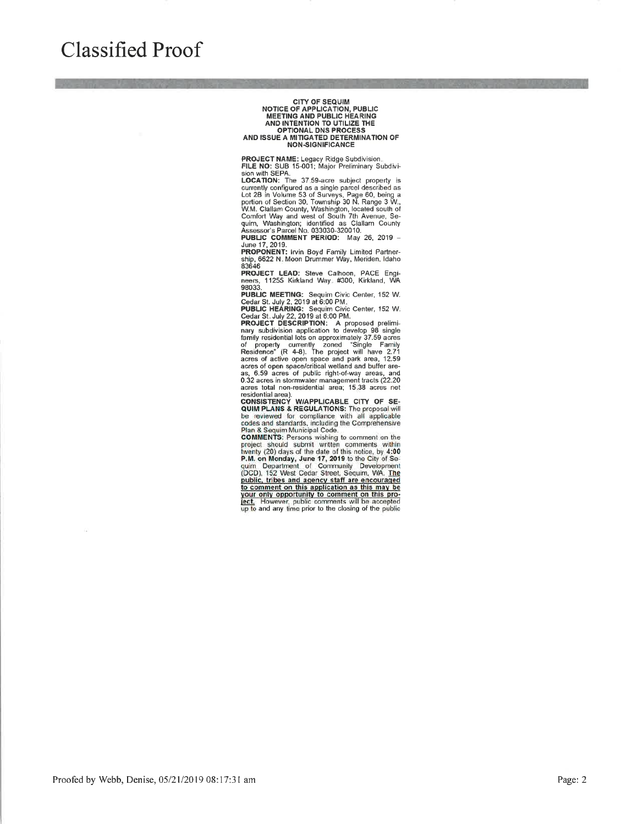### Classified Proof

# CITY OF SEQUIM NOTICE OF APPLICATION, PUBLIC MEETING AND PUBLIC HEARING AND INTENTION TO UTILIZE TIIE OPTIONAL DNS PROCESS AND ISSUE A MITIGATED DETÊRMINATION OF NON-SIGNIFICANCE

**PROJECT NAME:** Legacy Ridge Subdivision.<br>**FILE NO:** SUB 15-001; Major Preliminary Subdivi-

sion with SEPA.<br>
LOCATION: The 37.59-acre subject property is<br>
LOCATION: The 37.59-acre subject property is<br>
currently configured as a single parcel described as<br>
Lot 2B in Volume 53 of Surveys, Page 60, being a<br>
portion o

**PUBLIC MEETING:** Sequim Civic Center, 152 W.<br>Cedar St. July 2, 2019 at 6:00 PM.<br>**PUBLIC HEARING:** Sequim Civic Center, 152 W.<br>**Cedar St. July 22, 2019 at 6:00 PM.**<br>**PAOBET DESCRIPTION:** A proposed prelimi-<br>**PROJECT DESCRI** 

acres total non-residential area; 15,38 acres net<br>csidential area).<br>CONSISTENCY W/APPLICABLE CITY OF SE-<br>QUIM PLANS & REGULATIONS: The proposal will<br>be reviewed for compliance with all applicable<br>codes and standards, inclu

twenty (20) days of the date of this notice, by 4:00<br>P.M. on Monday, June 17, 2019 to the City of Se-<br>quim Department of Community Development<br>(DCD), 152 West Cedar Street, Sequim, WA. The<br>public, tribes and agency staff a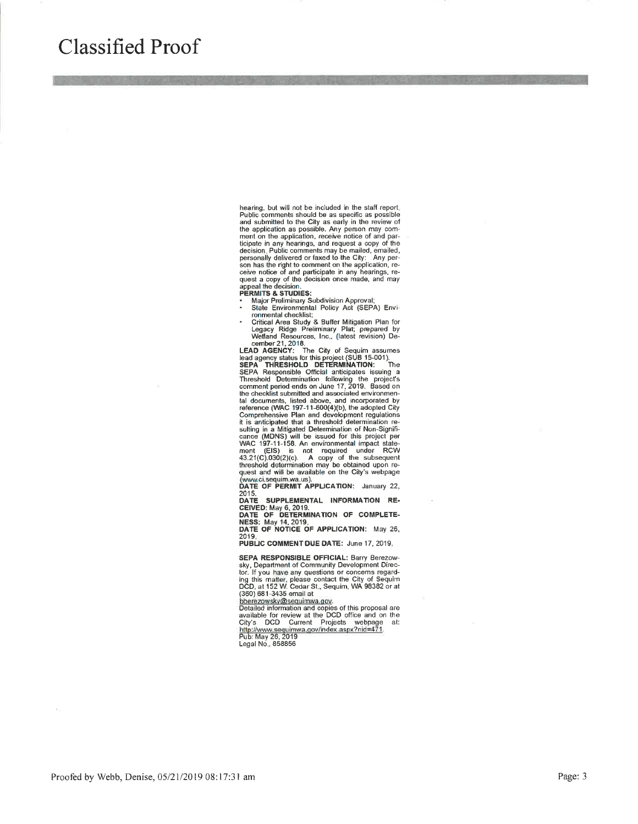## **Classified Proof**

hearing, but will not be included in the staff report.<br>Public comments should be as specific as possible r and submitted to the City as early in the review of<br>the application as possible. Any person may com-<br>ment on the application, receive notice of and parment on the application, receive notice or and particle<br>dicipate in any hearings, and request a copy of the<br>decision, Public comments may be mailed, emailed,<br>personally delivered or faxed to the City: Any per-<br>soin has the

- 
- **PERMITS & STUDIES:**<br>• Major Preliminary Subdivision Approval;<br>• State Environmental Policy Act (SEPA) Envi-
- 

State Environmental Policy Act (SEPA) Environmental checklist;<br>connental checklist;<br>Critical Area Study & Buffer Mitigation Plan for<br>Legacy Ridge Preliminary Plat; prepared by<br>Wetfland Resources, Inc., (latest revision) De the checklist submitted and associated environmental<br>diacoments, listed above, and incorporated by<br>reference (WAC 197-11-600(4)(b), the adopted City<br>Comprehensive Plan and development regulations<br>it is anticipated that a (www.ci.sequim.wa.us).<br>DATE OF PERMIT APPLICATION: January 22,

2015 DATE SUPPLEMENTAL INFORMATION RE-

DEIVED: May 6, 2019.<br>DATE OF DETERMINATION OF COMPLETE-<br>NESS: May 14, 2019.<br>DATE OF NOTICE OF APPLICATION: May 26,<br>2019.

PUBLIC COMMENT DUE DATE: June 17, 2019.

SEPA RESPONSIBLE OFFICIAL: Barry Berezow-Sky, Department of Community Development Director.<br>tor. If you have any questions or concerns regarding<br>this matter, please contact the City of Sequirn<br>DCD, at 152 W. Cedar St., Sequirn, WA 98382 or at<br>(360) 681-3435 email

(360) 681-3435 email at<br>
bberszowsky@sequimwa.gov.<br>
Detailed information and copies of this proposal are<br>
available for review at the DCD office and on the<br>
City's DCD Current Projects webpage at:<br>
the Universe apply and t